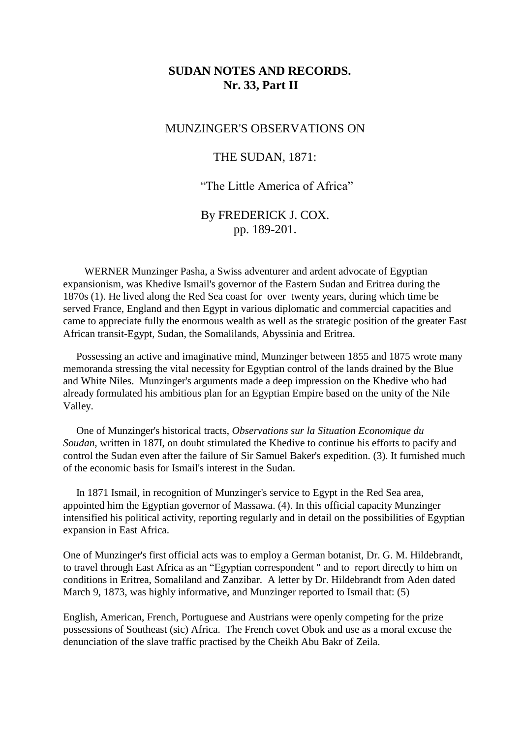# **SUDAN NOTES AND RECORDS. Nr. 33, Part II**

## MUNZINGER'S OBSERVATIONS ON

# THE SUDAN, 1871:

# "The Little America of Africa"

# By FREDERICK J. COX. pp. 189-201.

 WERNER Munzinger Pasha, a Swiss adventurer and ardent advocate of Egyptian expansionism, was Khedive Ismail's governor of the Eastern Sudan and Eritrea during the 1870s (1). He lived along the Red Sea coast for over twenty years, during which time be served France, England and then Egypt in various diplomatic and commercial capacities and came to appreciate fully the enormous wealth as well as the strategic position of the greater East African transit-Egypt, Sudan, the Somalilands, Abyssinia and Eritrea.

 Possessing an active and imaginative mind, Munzinger between 1855 and 1875 wrote many memoranda stressing the vital necessity for Egyptian control of the lands drained by the Blue and White Niles. Munzinger's arguments made a deep impression on the Khedive who had already formulated his ambitious plan for an Egyptian Empire based on the unity of the Nile Valley.

 One of Munzinger's historical tracts, *Observations sur la Situation Economique du Soudan,* written in 187I, on doubt stimulated the Khedive to continue his efforts to pacify and control the Sudan even after the failure of Sir Samuel Baker's expedition. (3). It furnished much of the economic basis for Ismail's interest in the Sudan.

 In 1871 Ismail, in recognition of Munzinger's service to Egypt in the Red Sea area, appointed him the Egyptian governor of Massawa. (4). In this official capacity Munzinger intensified his political activity, reporting regularly and in detail on the possibilities of Egyptian expansion in East Africa.

One of Munzinger's first official acts was to employ a German botanist, Dr. G. M. Hildebrandt, to travel through East Africa as an "Egyptian correspondent " and to report directly to him on conditions in Eritrea, Somaliland and Zanzibar. A letter by Dr. Hildebrandt from Aden dated March 9, 1873, was highly informative, and Munzinger reported to Ismail that: (5)

English, American, French, Portuguese and Austrians were openly competing for the prize possessions of Southeast (sic) Africa. The French covet Obok and use as a moral excuse the denunciation of the slave traffic practised by the Cheikh Abu Bakr of Zeila.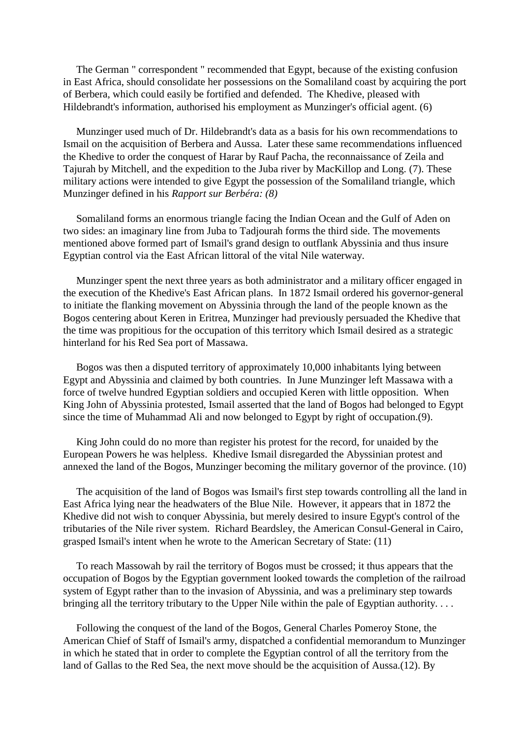The German " correspondent " recommended that Egypt, because of the existing confusion in East Africa, should consolidate her possessions on the Somaliland coast by acquiring the port of Berbera, which could easily be fortified and defended. The Khedive, pleased with Hildebrandt's information, authorised his employment as Munzinger's official agent. (6)

 Munzinger used much of Dr. Hildebrandt's data as a basis for his own recommendations to Ismail on the acquisition of Berbera and Aussa. Later these same recommendations influenced the Khedive to order the conquest of Harar by Rauf Pacha, the reconnaissance of Zeila and Tajurah by Mitchell, and the expedition to the Juba river by MacKillop and Long. (7). These military actions were intended to give Egypt the possession of the Somaliland triangle, which Munzinger defined in his *Rapport sur Berbéra: (8)*

 Somaliland forms an enormous triangle facing the Indian Ocean and the Gulf of Aden on two sides: an imaginary line from Juba to Tadjourah forms the third side. The movements mentioned above formed part of Ismail's grand design to outflank Abyssinia and thus insure Egyptian control via the East African littoral of the vital Nile waterway.

 Munzinger spent the next three years as both administrator and a military officer engaged in the execution of the Khedive's East African plans. In 1872 Ismail ordered his governor-general to initiate the flanking movement on Abyssinia through the land of the people known as the Bogos centering about Keren in Eritrea, Munzinger had previously persuaded the Khedive that the time was propitious for the occupation of this territory which Ismail desired as a strategic hinterland for his Red Sea port of Massawa.

 Bogos was then a disputed territory of approximately 10,000 inhabitants lying between Egypt and Abyssinia and claimed by both countries. In June Munzinger left Massawa with a force of twelve hundred Egyptian soldiers and occupied Keren with little opposition. When King John of Abyssinia protested, Ismail asserted that the land of Bogos had belonged to Egypt since the time of Muhammad Ali and now belonged to Egypt by right of occupation.(9).

 King John could do no more than register his protest for the record, for unaided by the European Powers he was helpless. Khedive Ismail disregarded the Abyssinian protest and annexed the land of the Bogos, Munzinger becoming the military governor of the province. (10)

 The acquisition of the land of Bogos was Ismail's first step towards controlling all the land in East Africa lying near the headwaters of the Blue Nile. However, it appears that in 1872 the Khedive did not wish to conquer Abyssinia, but merely desired to insure Egypt's control of the tributaries of the Nile river system. Richard Beardsley, the American Consul-General in Cairo, grasped Ismail's intent when he wrote to the American Secretary of State: (11)

 To reach Massowah by rail the territory of Bogos must be crossed; it thus appears that the occupation of Bogos by the Egyptian government looked towards the completion of the railroad system of Egypt rather than to the invasion of Abyssinia, and was a preliminary step towards bringing all the territory tributary to the Upper Nile within the pale of Egyptian authority. . . .

 Following the conquest of the land of the Bogos, General Charles Pomeroy Stone, the American Chief of Staff of Ismail's army, dispatched a confidential memorandum to Munzinger in which he stated that in order to complete the Egyptian control of all the territory from the land of Gallas to the Red Sea, the next move should be the acquisition of Aussa.(12). By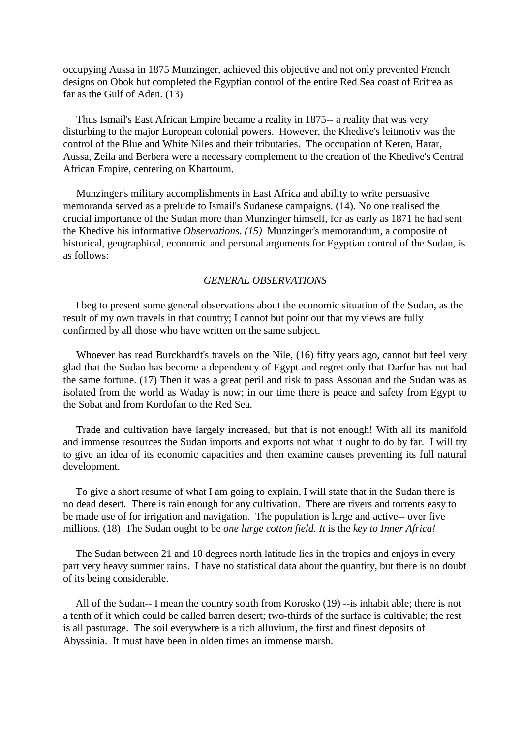occupying Aussa in 1875 Munzinger, achieved this objective and not only prevented French designs on Obok but completed the Egyptian control of the entire Red Sea coast of Eritrea as far as the Gulf of Aden. (13)

 Thus Ismail's East African Empire became a reality in 1875-- a reality that was very disturbing to the major European colonial powers. However, the Khedive's leitmotiv was the control of the Blue and White Niles and their tributaries. The occupation of Keren, Harar, Aussa, Zeila and Berbera were a necessary complement to the creation of the Khedive's Central African Empire, centering on Khartoum.

 Munzinger's military accomplishments in East Africa and ability to write persuasive memoranda served as a prelude to Ismail's Sudanese campaigns. (14). No one realised the crucial importance of the Sudan more than Munzinger himself, for as early as 1871 he had sent the Khedive his informative *Observations. (15)* Munzinger's memorandum, a composite of historical, geographical, economic and personal arguments for Egyptian control of the Sudan, is as follows:

#### *GENERAL OBSERVATIONS*

I beg to present some general observations about the economic situation of the Sudan, as the result of my own travels in that country; I cannot but point out that my views are fully confirmed by all those who have written on the same subject.

 Whoever has read Burckhardt's travels on the Nile, (16) fifty years ago, cannot but feel very glad that the Sudan has become a dependency of Egypt and regret only that Darfur has not had the same fortune. (17) Then it was a great peril and risk to pass Assouan and the Sudan was as isolated from the world as Waday is now; in our time there is peace and safety from Egypt to the Sobat and from Kordofan to the Red Sea.

 Trade and cultivation have largely increased, but that is not enough! With all its manifold and immense resources the Sudan imports and exports not what it ought to do by far. I will try to give an idea of its economic capacities and then examine causes preventing its full natural development.

To give a short resume of what I am going to explain, I will state that in the Sudan there is no dead desert. There is rain enough for any cultivation. There are rivers and torrents easy to be made use of for irrigation and navigation. The population is large and active-- over five millions. (18) The Sudan ought to be *one large cotton field. It* is the *key to Inner Africa!*

The Sudan between 21 and 10 degrees north latitude lies in the tropics and enjoys in every part very heavy summer rains. I have no statistical data about the quantity, but there is no doubt of its being considerable.

All of the Sudan-- I mean the country south from Korosko (19) --is inhabit able; there is not a tenth of it which could be called barren desert; two-thirds of the surface is cultivable; the rest is all pasturage. The soil everywhere is a rich alluvium, the first and finest deposits of Abyssinia. It must have been in olden times an immense marsh.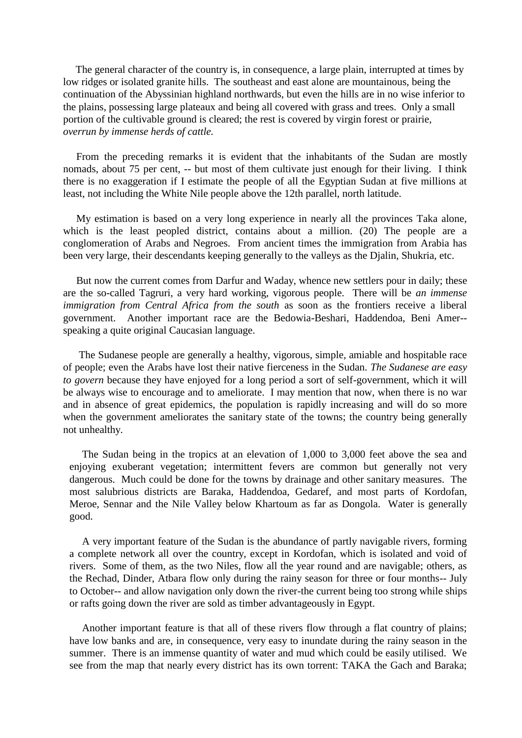The general character of the country is, in consequence, a large plain, interrupted at times by low ridges or isolated granite hills. The southeast and east alone are mountainous, being the continuation of the Abyssinian highland northwards, but even the hills are in no wise inferior to the plains, possessing large plateaux and being all covered with grass and trees. Only a small portion of the cultivable ground is cleared; the rest is covered by virgin forest or prairie, *overrun by immense herds of cattle.*

 From the preceding remarks it is evident that the inhabitants of the Sudan are mostly nomads, about 75 per cent, -- but most of them cultivate just enough for their living. I think there is no exaggeration if I estimate the people of all the Egyptian Sudan at five millions at least, not including the White Nile people above the 12th parallel, north latitude.

 My estimation is based on a very long experience in nearly all the provinces Taka alone, which is the least peopled district, contains about a million. (20) The people are a conglomeration of Arabs and Negroes. From ancient times the immigration from Arabia has been very large, their descendants keeping generally to the valleys as the Djalin, Shukria, etc.

 But now the current comes from Darfur and Waday, whence new settlers pour in daily; these are the so-called Tagruri, a very hard working, vigorous people. There will be *an immense immigration from Central Africa from the south* as soon as the frontiers receive a liberal government. Another important race are the Bedowia-Beshari, Haddendoa, Beni Amer- speaking a quite original Caucasian language.

 The Sudanese people are generally a healthy, vigorous, simple, amiable and hospitable race of people; even the Arabs have lost their native fierceness in the Sudan. *The Sudanese are easy to govern* because they have enjoyed for a long period a sort of self-government, which it will be always wise to encourage and to ameliorate. I may mention that now, when there is no war and in absence of great epidemics, the population is rapidly increasing and will do so more when the government ameliorates the sanitary state of the towns; the country being generally not unhealthy.

The Sudan being in the tropics at an elevation of 1,000 to 3,000 feet above the sea and enjoying exuberant vegetation; intermittent fevers are common but generally not very dangerous. Much could be done for the towns by drainage and other sanitary measures. The most salubrious districts are Baraka, Haddendoa, Gedaref, and most parts of Kordofan, Meroe, Sennar and the Nile Valley below Khartoum as far as Dongola. Water is generally good.

A very important feature of the Sudan is the abundance of partly navigable rivers, forming a complete network all over the country, except in Kordofan, which is isolated and void of rivers. Some of them, as the two Niles, flow all the year round and are navigable; others, as the Rechad, Dinder, Atbara flow only during the rainy season for three or four months-- July to October-- and allow navigation only down the river-the current being too strong while ships or rafts going down the river are sold as timber advantageously in Egypt.

Another important feature is that all of these rivers flow through a flat country of plains; have low banks and are, in consequence, very easy to inundate during the rainy season in the summer. There is an immense quantity of water and mud which could be easily utilised. We see from the map that nearly every district has its own torrent: TAKA the Gach and Baraka;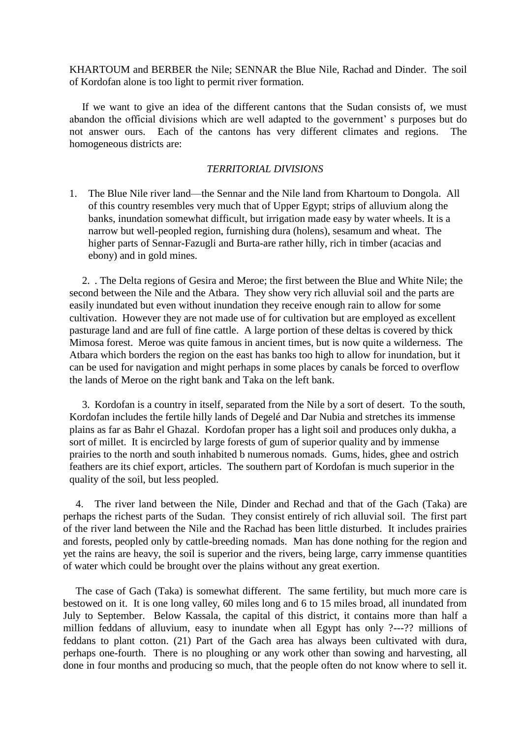KHARTOUM and BERBER the Nile; SENNAR the Blue Nile, Rachad and Dinder. The soil of Kordofan alone is too light to permit river formation.

If we want to give an idea of the different cantons that the Sudan consists of, we must abandon the official divisions which are well adapted to the government' s purposes but do not answer ours. Each of the cantons has very different climates and regions. The homogeneous districts are:

## *TERRITORIAL DIVISIONS*

1. The Blue Nile river land—the Sennar and the Nile land from Khartoum to Dongola. All of this country resembles very much that of Upper Egypt; strips of alluvium along the banks, inundation somewhat difficult, but irrigation made easy by water wheels. It is a narrow but well-peopled region, furnishing dura (holens), sesamum and wheat. The higher parts of Sennar-Fazugli and Burta-are rather hilly, rich in timber (acacias and ebony) and in gold mines.

2. . The Delta regions of Gesira and Meroe; the first between the Blue and White Nile; the second between the Nile and the Atbara. They show very rich alluvial soil and the parts are easily inundated but even without inundation they receive enough rain to allow for some cultivation. However they are not made use of for cultivation but are employed as excellent pasturage land and are full of fine cattle. A large portion of these deltas is covered by thick Mimosa forest. Meroe was quite famous in ancient times, but is now quite a wilderness. The Atbara which borders the region on the east has banks too high to allow for inundation, but it can be used for navigation and might perhaps in some places by canals be forced to overflow the lands of Meroe on the right bank and Taka on the left bank.

3. Kordofan is a country in itself, separated from the Nile by a sort of desert. To the south, Kordofan includes the fertile hilly lands of Degelé and Dar Nubia and stretches its immense plains as far as Bahr el Ghazal. Kordofan proper has a light soil and produces only dukha, a sort of millet. It is encircled by large forests of gum of superior quality and by immense prairies to the north and south inhabited b numerous nomads. Gums, hides, ghee and ostrich feathers are its chief export, articles. The southern part of Kordofan is much superior in the quality of the soil, but less peopled.

4. The river land between the Nile, Dinder and Rechad and that of the Gach (Taka) are perhaps the richest parts of the Sudan. They consist entirely of rich alluvial soil. The first part of the river land between the Nile and the Rachad has been little disturbed. It includes prairies and forests, peopled only by cattle-breeding nomads. Man has done nothing for the region and yet the rains are heavy, the soil is superior and the rivers, being large, carry immense quantities of water which could be brought over the plains without any great exertion.

The case of Gach (Taka) is somewhat different. The same fertility, but much more care is bestowed on it. It is one long valley, 60 miles long and 6 to 15 miles broad, all inundated from July to September. Below Kassala, the capital of this district, it contains more than half a million feddans of alluvium, easy to inundate when all Egypt has only ?---?? millions of feddans to plant cotton. (21) Part of the Gach area has always been cultivated with dura, perhaps one-fourth. There is no ploughing or any work other than sowing and harvesting, all done in four months and producing so much, that the people often do not know where to sell it.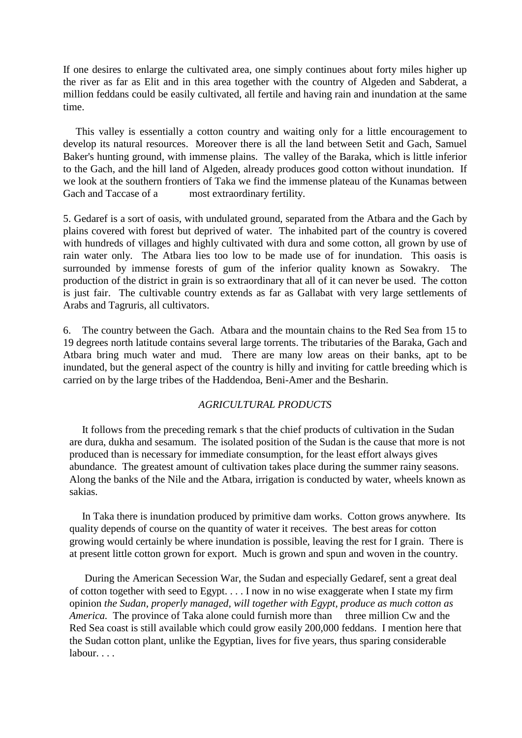If one desires to enlarge the cultivated area, one simply continues about forty miles higher up the river as far as Elit and in this area together with the country of Algeden and Sabderat, a million feddans could be easily cultivated, all fertile and having rain and inundation at the same time.

This valley is essentially a cotton country and waiting only for a little encouragement to develop its natural resources. Moreover there is all the land between Setit and Gach, Samuel Baker's hunting ground, with immense plains. The valley of the Baraka, which is little inferior to the Gach, and the hill land of Algeden, already produces good cotton without inundation. If we look at the southern frontiers of Taka we find the immense plateau of the Kunamas between Gach and Taccase of a most extraordinary fertility.

5. Gedaref is a sort of oasis, with undulated ground, separated from the Atbara and the Gach by plains covered with forest but deprived of water. The inhabited part of the country is covered with hundreds of villages and highly cultivated with dura and some cotton, all grown by use of rain water only. The Atbara lies too low to be made use of for inundation. This oasis is surrounded by immense forests of gum of the inferior quality known as Sowakry. The production of the district in grain is so extraordinary that all of it can never be used. The cotton is just fair. The cultivable country extends as far as Gallabat with very large settlements of Arabs and Tagruris, all cultivators.

6. The country between the Gach. Atbara and the mountain chains to the Red Sea from 15 to 19 degrees north latitude contains several large torrents. The tributaries of the Baraka, Gach and Atbara bring much water and mud. There are many low areas on their banks, apt to be inundated, but the general aspect of the country is hilly and inviting for cattle breeding which is carried on by the large tribes of the Haddendoa, Beni-Amer and the Besharin.

## *AGRICULTURAL PRODUCTS*

It follows from the preceding remark s that the chief products of cultivation in the Sudan are dura, dukha and sesamum. The isolated position of the Sudan is the cause that more is not produced than is necessary for immediate consumption, for the least effort always gives abundance. The greatest amount of cultivation takes place during the summer rainy seasons. Along the banks of the Nile and the Atbara, irrigation is conducted by water, wheels known as sakias.

In Taka there is inundation produced by primitive dam works. Cotton grows anywhere. Its quality depends of course on the quantity of water it receives. The best areas for cotton growing would certainly be where inundation is possible, leaving the rest for I grain. There is at present little cotton grown for export. Much is grown and spun and woven in the country.

During the American Secession War, the Sudan and especially Gedaref, sent a great deal of cotton together with seed to Egypt. . . . I now in no wise exaggerate when I state my firm opinion *the Sudan, properly managed, will together with Egypt, produce as much cotton as America.* The province of Taka alone could furnish more than three million Cw and the Red Sea coast is still available which could grow easily 200,000 feddans. I mention here that the Sudan cotton plant, unlike the Egyptian, lives for five years, thus sparing considerable labour...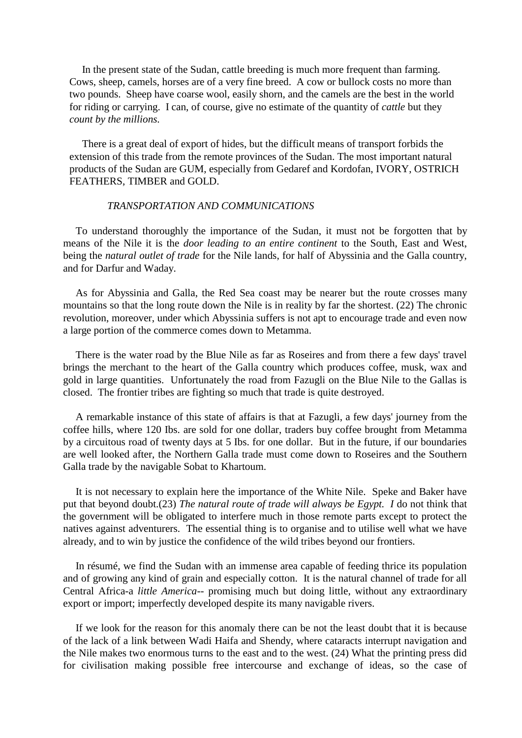In the present state of the Sudan, cattle breeding is much more frequent than farming. Cows, sheep, camels, horses are of a very fine breed. A cow or bullock costs no more than two pounds. Sheep have coarse wool, easily shorn, and the camels are the best in the world for riding or carrying. I can, of course, give no estimate of the quantity of *cattle* but they *count by the millions.*

There is a great deal of export of hides, but the difficult means of transport forbids the extension of this trade from the remote provinces of the Sudan. The most important natural products of the Sudan are GUM, especially from Gedaref and Kordofan, IVORY, OSTRICH FEATHERS, TIMBER and GOLD.

### *TRANSPORTATION AND COMMUNICATIONS*

To understand thoroughly the importance of the Sudan, it must not be forgotten that by means of the Nile it is the *door leading to an entire continent* to the South, East and West, being the *natural outlet of trade* for the Nile lands, for half of Abyssinia and the Galla country, and for Darfur and Waday.

As for Abyssinia and Galla, the Red Sea coast may be nearer but the route crosses many mountains so that the long route down the Nile is in reality by far the shortest. (22) The chronic revolution, moreover, under which Abyssinia suffers is not apt to encourage trade and even now a large portion of the commerce comes down to Metamma.

There is the water road by the Blue Nile as far as Roseires and from there a few days' travel brings the merchant to the heart of the Galla country which produces coffee, musk, wax and gold in large quantities. Unfortunately the road from Fazugli on the Blue Nile to the Gallas is closed. The frontier tribes are fighting so much that trade is quite destroyed.

A remarkable instance of this state of affairs is that at Fazugli, a few days' journey from the coffee hills, where 120 Ibs. are sold for one dollar, traders buy coffee brought from Metamma by a circuitous road of twenty days at 5 Ibs. for one dollar. But in the future, if our boundaries are well looked after, the Northern Galla trade must come down to Roseires and the Southern Galla trade by the navigable Sobat to Khartoum.

It is not necessary to explain here the importance of the White Nile. Speke and Baker have put that beyond doubt.(23) *The natural route of trade will always be Egypt. I* do not think that the government will be obligated to interfere much in those remote parts except to protect the natives against adventurers. The essential thing is to organise and to utilise well what we have already, and to win by justice the confidence of the wild tribes beyond our frontiers.

In résumé, we find the Sudan with an immense area capable of feeding thrice its population and of growing any kind of grain and especially cotton. It is the natural channel of trade for all Central Africa-a *little America*-- promising much but doing little, without any extraordinary export or import; imperfectly developed despite its many navigable rivers.

If we look for the reason for this anomaly there can be not the least doubt that it is because of the lack of a link between Wadi Haifa and Shendy, where cataracts interrupt navigation and the Nile makes two enormous turns to the east and to the west. (24) What the printing press did for civilisation making possible free intercourse and exchange of ideas, so the case of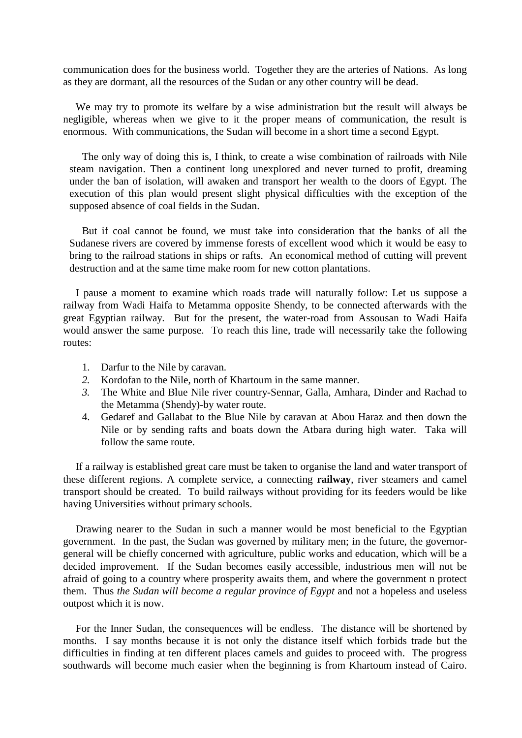communication does for the business world. Together they are the arteries of Nations. As long as they are dormant, all the resources of the Sudan or any other country will be dead.

We may try to promote its welfare by a wise administration but the result will always be negligible, whereas when we give to it the proper means of communication, the result is enormous. With communications, the Sudan will become in a short time a second Egypt.

The only way of doing this is, I think, to create a wise combination of railroads with Nile steam navigation. Then a continent long unexplored and never turned to profit, dreaming under the ban of isolation, will awaken and transport her wealth to the doors of Egypt. The execution of this plan would present slight physical difficulties with the exception of the supposed absence of coal fields in the Sudan.

But if coal cannot be found, we must take into consideration that the banks of all the Sudanese rivers are covered by immense forests of excellent wood which it would be easy to bring to the railroad stations in ships or rafts. An economical method of cutting will prevent destruction and at the same time make room for new cotton plantations.

I pause a moment to examine which roads trade will naturally follow: Let us suppose a railway from Wadi Haifa to Metamma opposite Shendy, to be connected afterwards with the great Egyptian railway. But for the present, the water-road from Assousan to Wadi Haifa would answer the same purpose. To reach this line, trade will necessarily take the following routes:

- 1. Darfur to the Nile by caravan.
- *2.* Kordofan to the Nile, north of Khartoum in the same manner.
- *3.* The White and Blue Nile river country-Sennar, Galla, Amhara, Dinder and Rachad to the Metamma (Shendy)-by water route.
- 4. Gedaref and Gallabat to the Blue Nile by caravan at Abou Haraz and then down the Nile or by sending rafts and boats down the Atbara during high water. Taka will follow the same route.

If a railway is established great care must be taken to organise the land and water transport of these different regions. A complete service, a connecting **railway**, river steamers and camel transport should be created. To build railways without providing for its feeders would be like having Universities without primary schools.

Drawing nearer to the Sudan in such a manner would be most beneficial to the Egyptian government. In the past, the Sudan was governed by military men; in the future, the governorgeneral will be chiefly concerned with agriculture, public works and education, which will be a decided improvement. If the Sudan becomes easily accessible, industrious men will not be afraid of going to a country where prosperity awaits them, and where the government n protect them. Thus *the Sudan will become a regular province of Egypt* and not a hopeless and useless outpost which it is now.

For the Inner Sudan, the consequences will be endless. The distance will be shortened by months. I say months because it is not only the distance itself which forbids trade but the difficulties in finding at ten different places camels and guides to proceed with. The progress southwards will become much easier when the beginning is from Khartoum instead of Cairo.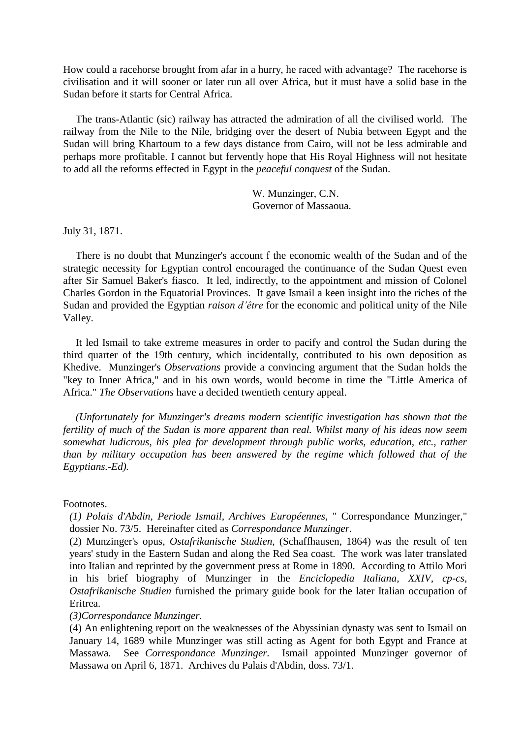How could a racehorse brought from afar in a hurry, he raced with advantage? The racehorse is civilisation and it will sooner or later run all over Africa, but it must have a solid base in the Sudan before it starts for Central Africa.

The trans-Atlantic (sic) railway has attracted the admiration of all the civilised world. The railway from the Nile to the Nile, bridging over the desert of Nubia between Egypt and the Sudan will bring Khartoum to a few days distance from Cairo, will not be less admirable and perhaps more profitable. I cannot but fervently hope that His Royal Highness will not hesitate to add all the reforms effected in Egypt in the *peaceful conquest* of the Sudan.

> W. Munzinger, C.N. Governor of Massaoua.

July 31, 1871.

There is no doubt that Munzinger's account f the economic wealth of the Sudan and of the strategic necessity for Egyptian control encouraged the continuance of the Sudan Quest even after Sir Samuel Baker's fiasco. It led, indirectly, to the appointment and mission of Colonel Charles Gordon in the Equatorial Provinces. It gave Ismail a keen insight into the riches of the Sudan and provided the Egyptian *raison d'être* for the economic and political unity of the Nile Valley.

It led Ismail to take extreme measures in order to pacify and control the Sudan during the third quarter of the 19th century, which incidentally, contributed to his own deposition as Khedive. Munzinger's *Observations* provide a convincing argument that the Sudan holds the "key to Inner Africa," and in his own words, would become in time the "Little America of Africa." *The Observations* have a decided twentieth century appeal.

*(Unfortunately for Munzinger's dreams modern scientific investigation has shown that the fertility of much of the Sudan is more apparent than real. Whilst many of his ideas now seem somewhat ludicrous, his plea for development through public works, education, etc., rather than by military occupation has been answered by the regime which followed that of the Egyptians.-Ed).*

#### Footnotes.

*(1) Polais d'Abdin, Periode Ismail, Archives Européennes,* " Correspondance Munzinger," dossier No. 73/5. Hereinafter cited as *Correspondance Munzinger.*

(2) Munzinger's opus, *Ostafrikanische Studien,* (Schaffhausen, 1864) was the result of ten years' study in the Eastern Sudan and along the Red Sea coast. The work was later translated into Italian and reprinted by the government press at Rome in 1890. According to Attilo Mori in his brief biography of Munzinger in the *Enciclopedia Italiana, XXIV, cp-cs, Ostafrikanische Studien* furnished the primary guide book for the later Italian occupation of Eritrea.

### *(3)Correspondance Munzinger.*

(4) An enlightening report on the weaknesses of the Abyssinian dynasty was sent to Ismail on January 14, 1689 while Munzinger was still acting as Agent for both Egypt and France at Massawa. See *Correspondance Munzinger.* Ismail appointed Munzinger governor of Massawa on April 6, 1871. Archives du Palais d'Abdin, doss. 73/1.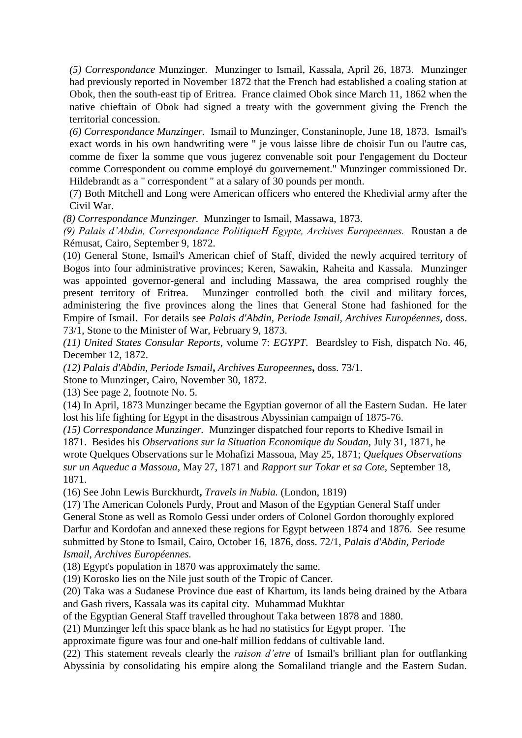*(5) Correspondance* Munzinger. Munzinger to Ismail, Kassala, April 26, 1873. Munzinger had previously reported in November 1872 that the French had established a coaling station at Obok, then the south-east tip of Eritrea. France claimed Obok since March 11, 1862 when the native chieftain of Obok had signed a treaty with the government giving the French the territorial concession.

*(6) Correspondance Munzinger.* Ismail to Munzinger, Constaninople, June 18, 1873. Ismail's exact words in his own handwriting were " je vous laisse libre de choisir I'un ou l'autre cas, comme de fixer la somme que vous jugerez convenable soit pour I'engagement du Docteur comme Correspondent ou comme employé du gouvernement." Munzinger commissioned Dr. Hildebrandt as a " correspondent " at a salary of 30 pounds per month.

(7) Both Mitchell and Long were American officers who entered the Khedivial army after the Civil War.

*(8) Correspondance Munzinger.* Munzinger to Ismail, Massawa, 1873.

*(9) Palais d'Abdin, Correspondance PolitiqueH Egypte, Archives Europeennes.* Roustan a de Rémusat, Cairo, September 9, 1872.

(10) General Stone, Ismail's American chief of Staff, divided the newly acquired territory of Bogos into four administrative provinces; Keren, Sawakin, Raheita and Kassala. Munzinger was appointed governor-general and including Massawa, the area comprised roughly the present territory of Eritrea. Munzinger controlled both the civil and military forces, administering the five provinces along the lines that General Stone had fashioned for the Empire of Ismail. For details see *Palais d'Abdin, Periode Ismail, Archives Européennes,* doss. 73/1, Stone to the Minister of War, February 9, 1873.

*(11) United States Consular Reports,* volume 7: *EGYPT.* Beardsley to Fish, dispatch No. 46, December 12, 1872.

*(12) Palais d'Abdin, Periode Ismail***,** *Archives Europeennes***,** doss. 73/1.

Stone to Munzinger, Cairo, November 30, 1872.

(13) See page 2, footnote No. 5.

(14) In April, 1873 Munzinger became the Egyptian governor of all the Eastern Sudan. He later lost his life fighting for Egypt in the disastrous Abyssinian campaign of 1875-76.

*(15) Correspondance Munzinger.* Munzinger dispatched four reports to Khedive Ismail in 1871. Besides his *Observations sur la Situation Economique du Soudan,* July 31, 1871, he wrote Quelques Observations sur le Mohafizi Massoua, May 25, 1871; *Quelques Observations sur un Aqueduc a Massoua,* May 27, 1871 and *Rapport sur Tokar et sa Cote,* September 18, 1871.

(16) See John Lewis Burckhurdt**,** *Travels in Nubia.* (London, 1819)

(17) The American Colonels Purdy, Prout and Mason of the Egyptian General Staff under General Stone as well as Romolo Gessi under orders of Colonel Gordon thoroughly explored Darfur and Kordofan and annexed these regions for Egypt between 1874 and 1876. See resume submitted by Stone to Ismail, Cairo, October 16, 1876, doss. 72/1, *Palais d'Abdin, Periode Ismail, Archives Européennes.*

(18) Egypt's population in 1870 was approximately the same.

(19) Korosko lies on the Nile just south of the Tropic of Cancer.

(20) Taka was a Sudanese Province due east of Khartum, its lands being drained by the Atbara and Gash rivers, Kassala was its capital city. Muhammad Mukhtar

of the Egyptian General Staff travelled throughout Taka between 1878 and 1880.

(21) Munzinger left this space blank as he had no statistics for Egypt proper. The

approximate figure was four and one-half million feddans of cultivable land.

(22) This statement reveals clearly the *raison d'etre* of Ismail's brilliant plan for outflanking Abyssinia by consolidating his empire along the Somaliland triangle and the Eastern Sudan.